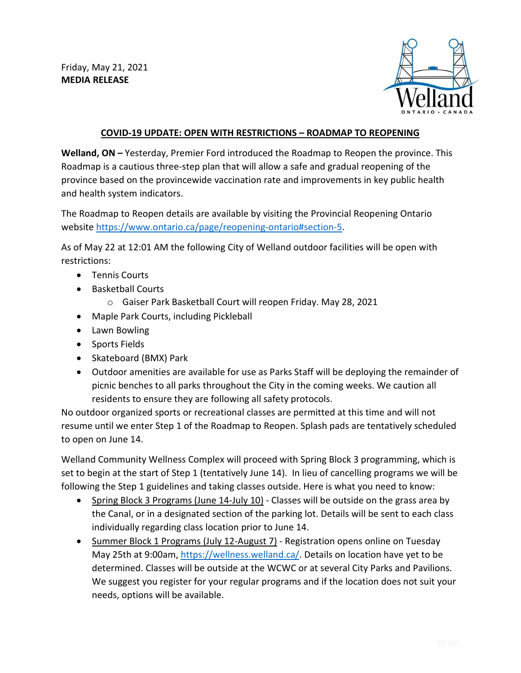Friday, May 21, 2021 **MEDIA RELEASE**



## **COVID-19 UPDATE: OPEN WITH RESTRICTIONS – ROADMAP TO REOPENING**

**Welland, ON –** Yesterday, Premier Ford introduced the Roadmap to Reopen the province. This Roadmap is a cautious three-step plan that will allow a safe and gradual reopening of the province based on the provincewide vaccination rate and improvements in key public health and health system indicators.

The Roadmap to Reopen details are available by visiting the Provincial Reopening Ontario website [https://www.ontario.ca/page/reopening-ontario#section-5.](https://www.ontario.ca/page/reopening-ontario#section-5)

As of May 22 at 12:01 AM the following City of Welland outdoor facilities will be open with restrictions:

- Tennis Courts
- Basketball Courts
	- o Gaiser Park Basketball Court will reopen Friday. May 28, 2021
- Maple Park Courts, including Pickleball
- Lawn Bowling
- Sports Fields
- Skateboard (BMX) Park
- Outdoor amenities are available for use as Parks Staff will be deploying the remainder of picnic benches to all parks throughout the City in the coming weeks. We caution all residents to ensure they are following all safety protocols.

No outdoor organized sports or recreational classes are permitted at this time and will not resume until we enter Step 1 of the Roadmap to Reopen. Splash pads are tentatively scheduled to open on June 14.

Welland Community Wellness Complex will proceed with Spring Block 3 programming, which is set to begin at the start of Step 1 (tentatively June 14). In lieu of cancelling programs we will be following the Step 1 guidelines and taking classes outside. Here is what you need to know:

- Spring Block 3 Programs (June 14-July 10) Classes will be outside on the grass area by the Canal, or in a designated section of the parking lot. Details will be sent to each class individually regarding class location prior to June 14.
- Summer Block 1 Programs (July 12-August 7) Registration opens online on Tuesday May 25th at 9:00am, [https://wellness.welland.ca/.](https://wellness.welland.ca/) Details on location have yet to be determined. Classes will be outside at the WCWC or at several City Parks and Pavilions. We suggest you register for your regular programs and if the location does not suit your needs, options will be available.